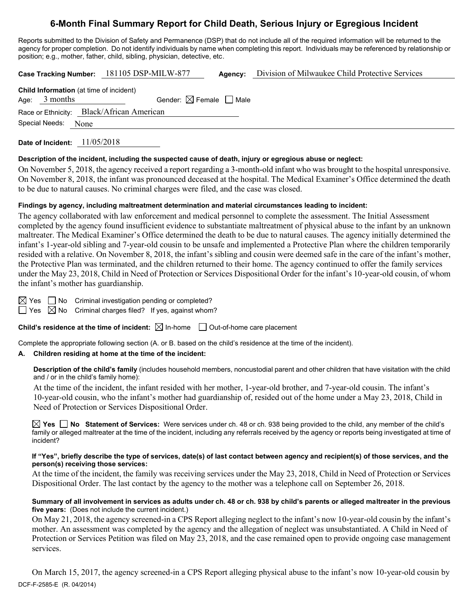# **6-Month Final Summary Report for Child Death, Serious Injury or Egregious Incident**

Reports submitted to the Division of Safety and Permanence (DSP) that do not include all of the required information will be returned to the agency for proper completion. Do not identify individuals by name when completing this report. Individuals may be referenced by relationship or position; e.g., mother, father, child, sibling, physician, detective, etc.

**Case Tracking Number:** 181105 DSP-MILW-877 **Agency:** Division of Milwaukee Child Protective Services

| <b>Child Information</b> (at time of incident) |                                        |  |  |  |
|------------------------------------------------|----------------------------------------|--|--|--|
| Age: $3$ months                                | Gender: $\boxtimes$ Female $\Box$ Male |  |  |  |
| Race or Ethnicity: Black/African American      |                                        |  |  |  |
| Special Needs:<br><b>None</b>                  |                                        |  |  |  |

**Date of Incident:** 11/05/2018

### **Description of the incident, including the suspected cause of death, injury or egregious abuse or neglect:**

On November 5, 2018, the agency received a report regarding a 3-month-old infant who was brought to the hospital unresponsive. On November 8, 2018, the infant was pronounced deceased at the hospital. The Medical Examiner's Office determined the death to be due to natural causes. No criminal charges were filed, and the case was closed.

### **Findings by agency, including maltreatment determination and material circumstances leading to incident:**

The agency collaborated with law enforcement and medical personnel to complete the assessment. The Initial Assessment completed by the agency found insufficient evidence to substantiate maltreatment of physical abuse to the infant by an unknown maltreater. The Medical Examiner's Office determined the death to be due to natural causes. The agency initially determined the infant's 1-year-old sibling and 7-year-old cousin to be unsafe and implemented a Protective Plan where the children temporarily resided with a relative. On November 8, 2018, the infant's sibling and cousin were deemed safe in the care of the infant's mother, the Protective Plan was terminated, and the children returned to their home. The agency continued to offer the family services under the May 23, 2018, Child in Need of Protection or Services Dispositional Order for the infant's 10-year-old cousin, of whom the infant's mother has guardianship.

 $\boxtimes$  Yes  $\Box$  No Criminal investigation pending or completed?

 $\Box$  Yes  $\boxtimes$  No Criminal charges filed? If yes, against whom?

**Child's residence at the time of incident:**  $\boxtimes$  In-home  $\Box$  Out-of-home care placement

Complete the appropriate following section (A. or B. based on the child's residence at the time of the incident).

# **A. Children residing at home at the time of the incident:**

**Description of the child's family** (includes household members, noncustodial parent and other children that have visitation with the child and / or in the child's family home):

At the time of the incident, the infant resided with her mother, 1-year-old brother, and 7-year-old cousin. The infant's 10-year-old cousin, who the infant's mother had guardianship of, resided out of the home under a May 23, 2018, Child in Need of Protection or Services Dispositional Order.

**Yes No Statement of Services:** Were services under ch. 48 or ch. 938 being provided to the child, any member of the child's family or alleged maltreater at the time of the incident, including any referrals received by the agency or reports being investigated at time of incident?

#### **If "Yes", briefly describe the type of services, date(s) of last contact between agency and recipient(s) of those services, and the person(s) receiving those services:**

At the time of the incident, the family was receiving services under the May 23, 2018, Child in Need of Protection or Services Dispositional Order. The last contact by the agency to the mother was a telephone call on September 26, 2018.

**Summary of all involvement in services as adults under ch. 48 or ch. 938 by child's parents or alleged maltreater in the previous five years:** (Does not include the current incident.)

On May 21, 2018, the agency screened-in a CPS Report alleging neglect to the infant's now 10-year-old cousin by the infant's mother. An assessment was completed by the agency and the allegation of neglect was unsubstantiated. A Child in Need of Protection or Services Petition was filed on May 23, 2018, and the case remained open to provide ongoing case management services.

DCF-F-2585-E (R. 04/2014) On March 15, 2017, the agency screened-in a CPS Report alleging physical abuse to the infant's now 10-year-old cousin by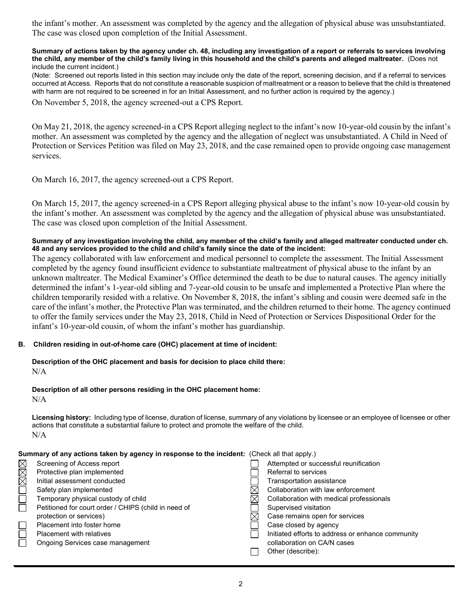the infant's mother. An assessment was completed by the agency and the allegation of physical abuse was unsubstantiated. The case was closed upon completion of the Initial Assessment.

#### **Summary of actions taken by the agency under ch. 48, including any investigation of a report or referrals to services involving the child, any member of the child's family living in this household and the child's parents and alleged maltreater.** (Does not include the current incident.)

(Note: Screened out reports listed in this section may include only the date of the report, screening decision, and if a referral to services occurred at Access. Reports that do not constitute a reasonable suspicion of maltreatment or a reason to believe that the child is threatened with harm are not required to be screened in for an Initial Assessment, and no further action is required by the agency.)

On November 5, 2018, the agency screened-out a CPS Report.

On May 21, 2018, the agency screened-in a CPS Report alleging neglect to the infant's now 10-year-old cousin by the infant's mother. An assessment was completed by the agency and the allegation of neglect was unsubstantiated. A Child in Need of Protection or Services Petition was filed on May 23, 2018, and the case remained open to provide ongoing case management services.

On March 16, 2017, the agency screened-out a CPS Report.

On March 15, 2017, the agency screened-in a CPS Report alleging physical abuse to the infant's now 10-year-old cousin by the infant's mother. An assessment was completed by the agency and the allegation of physical abuse was unsubstantiated. The case was closed upon completion of the Initial Assessment.

## **Summary of any investigation involving the child, any member of the child's family and alleged maltreater conducted under ch. 48 and any services provided to the child and child's family since the date of the incident:**

The agency collaborated with law enforcement and medical personnel to complete the assessment. The Initial Assessment completed by the agency found insufficient evidence to substantiate maltreatment of physical abuse to the infant by an unknown maltreater. The Medical Examiner's Office determined the death to be due to natural causes. The agency initially determined the infant's 1-year-old sibling and 7-year-old cousin to be unsafe and implemented a Protective Plan where the children temporarily resided with a relative. On November 8, 2018, the infant's sibling and cousin were deemed safe in the care of the infant's mother, the Protective Plan was terminated, and the children returned to their home. The agency continued to offer the family services under the May 23, 2018, Child in Need of Protection or Services Dispositional Order for the infant's 10-year-old cousin, of whom the infant's mother has guardianship.

### **B. Children residing in out-of-home care (OHC) placement at time of incident:**

**Description of the OHC placement and basis for decision to place child there:**  $N/A$ 

### **Description of all other persons residing in the OHC placement home:**

N/A

**Licensing history:** Including type of license, duration of license, summary of any violations by licensee or an employee of licensee or other actions that constitute a substantial failure to protect and promote the welfare of the child. N/A

### **Summary of any actions taken by agency in response to the incident:** (Check all that apply.)

|        | Screening of Access report                           | Attempted or successful reunification             |
|--------|------------------------------------------------------|---------------------------------------------------|
| X<br>X | Protective plan implemented                          | Referral to services                              |
|        | Initial assessment conducted                         | Transportation assistance                         |
|        | Safety plan implemented                              | Collaboration with law enforcement                |
|        | Temporary physical custody of child                  | Collaboration with medical professionals          |
|        | Petitioned for court order / CHIPS (child in need of | Supervised visitation                             |
|        | protection or services)                              | Case remains open for services                    |
|        | Placement into foster home                           | Case closed by agency                             |
|        | <b>Placement with relatives</b>                      | Initiated efforts to address or enhance community |
|        | Ongoing Services case management                     | collaboration on CA/N cases                       |
|        |                                                      | Other (describe):                                 |
|        |                                                      |                                                   |